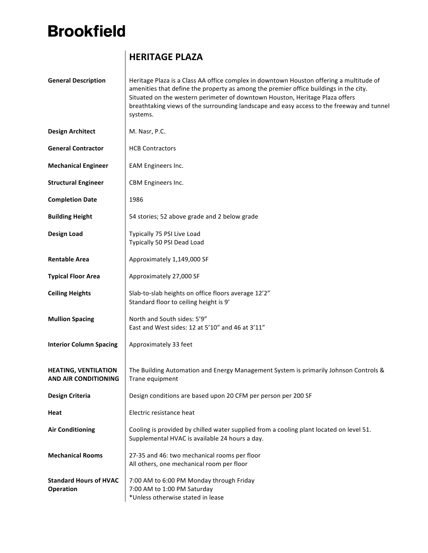## **Brookfield**

## **HERITAGE PLAZA**

| <b>General Description</b>                                 | Heritage Plaza is a Class AA office complex in downtown Houston offering a multitude of<br>amenities that define the property as among the premier office buildings in the city.<br>Situated on the western perimeter of downtown Houston, Heritage Plaza offers<br>breathtaking views of the surrounding landscape and easy access to the freeway and tunnel<br>systems. |
|------------------------------------------------------------|---------------------------------------------------------------------------------------------------------------------------------------------------------------------------------------------------------------------------------------------------------------------------------------------------------------------------------------------------------------------------|
| <b>Design Architect</b>                                    | M. Nasr, P.C.                                                                                                                                                                                                                                                                                                                                                             |
| <b>General Contractor</b>                                  | <b>HCB Contractors</b>                                                                                                                                                                                                                                                                                                                                                    |
| <b>Mechanical Engineer</b>                                 | EAM Engineers Inc.                                                                                                                                                                                                                                                                                                                                                        |
| <b>Structural Engineer</b>                                 | CBM Engineers Inc.                                                                                                                                                                                                                                                                                                                                                        |
| <b>Completion Date</b>                                     | 1986                                                                                                                                                                                                                                                                                                                                                                      |
| <b>Building Height</b>                                     | 54 stories; 52 above grade and 2 below grade                                                                                                                                                                                                                                                                                                                              |
| <b>Design Load</b>                                         | Typically 75 PSI Live Load<br>Typically 50 PSI Dead Load                                                                                                                                                                                                                                                                                                                  |
| <b>Rentable Area</b>                                       | Approximately 1,149,000 SF                                                                                                                                                                                                                                                                                                                                                |
| <b>Typical Floor Area</b>                                  | Approximately 27,000 SF                                                                                                                                                                                                                                                                                                                                                   |
| <b>Ceiling Heights</b>                                     | Slab-to-slab heights on office floors average 12'2"<br>Standard floor to ceiling height is 9'                                                                                                                                                                                                                                                                             |
| <b>Mullion Spacing</b>                                     | North and South sides: 5'9"<br>East and West sides: 12 at 5'10" and 46 at 3'11"                                                                                                                                                                                                                                                                                           |
| <b>Interior Column Spacing</b>                             | Approximately 33 feet                                                                                                                                                                                                                                                                                                                                                     |
| <b>HEATING, VENTILATION</b><br><b>AND AIR CONDITIONING</b> | The Building Automation and Energy Management System is primarily Johnson Controls &<br>Trane equipment                                                                                                                                                                                                                                                                   |
| Design Criteria                                            | Design conditions are based upon 20 CFM per person per 200 SF                                                                                                                                                                                                                                                                                                             |
| Heat                                                       | Electric resistance heat                                                                                                                                                                                                                                                                                                                                                  |
| <b>Air Conditioning</b>                                    | Cooling is provided by chilled water supplied from a cooling plant located on level 51.<br>Supplemental HVAC is available 24 hours a day.                                                                                                                                                                                                                                 |
| <b>Mechanical Rooms</b>                                    | 27-35 and 46: two mechanical rooms per floor<br>All others, one mechanical room per floor                                                                                                                                                                                                                                                                                 |
| <b>Standard Hours of HVAC</b><br><b>Operation</b>          | 7:00 AM to 6:00 PM Monday through Friday<br>7:00 AM to 1:00 PM Saturday<br>*Unless otherwise stated in lease                                                                                                                                                                                                                                                              |